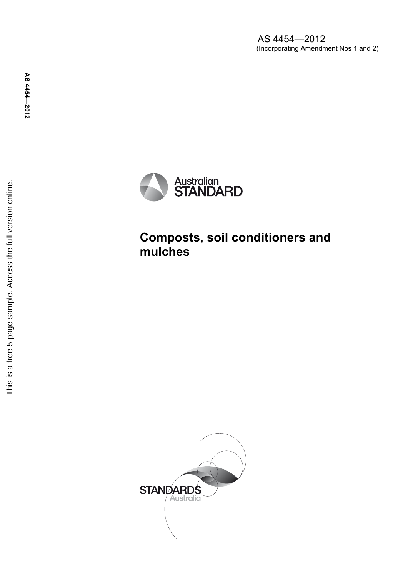AS 4454—2012 (Incorporating Amendment Nos 1 and 2)



# **Composts, soil conditioners and mulches**

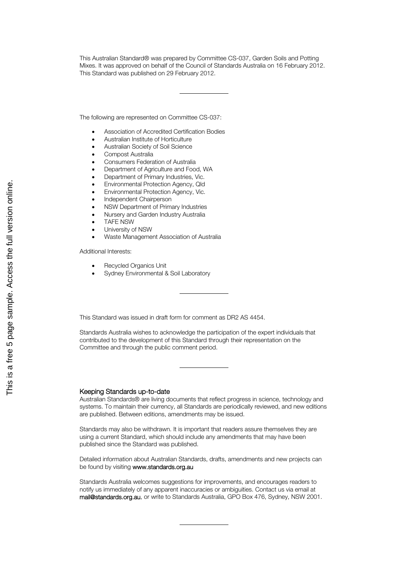This Australian Standard® was prepared by Committee CS-037, Garden Soils and Potting Mixes. It was approved on behalf of the Council of Standards Australia on 16 February 2012. This Standard was published on 29 February 2012.

The following are represented on Committee CS-037:

- Association of Accredited Certification Bodies
- Australian Institute of Horticulture
- Australian Society of Soil Science
- Compost Australia
- Consumers Federation of Australia
- Department of Agriculture and Food, WA
- Department of Primary Industries, Vic.
- Environmental Protection Agency, Qld
- Environmental Protection Agency, Vic.
- Independent Chairperson
- NSW Department of Primary Industries
- Nursery and Garden Industry Australia
- TAFE NSW
- University of NSW
- Waste Management Association of Australia

Additional Interests:

- Recycled Organics Unit
- Sydney Environmental & Soil Laboratory

This Standard was issued in draft form for comment as DR2 AS 4454.

Standards Australia wishes to acknowledge the participation of the expert individuals that contributed to the development of this Standard through their representation on the Committee and through the public comment period.

#### Keeping Standards up-to-date

Australian Standards® are living documents that reflect progress in science, technology and systems. To maintain their currency, all Standards are periodically reviewed, and new editions are published. Between editions, amendments may be issued.

Standards may also be withdrawn. It is important that readers assure themselves they are using a current Standard, which should include any amendments that may have been published since the Standard was published.

Detailed information about Australian Standards, drafts, amendments and new projects can be found by visiting www.standards.org.au

Standards Australia welcomes suggestions for improvements, and encourages readers to notify us immediately of any apparent inaccuracies or ambiguities. Contact us via email at mail@standards.org.au, or write to Standards Australia, GPO Box 476, Sydney, NSW 2001.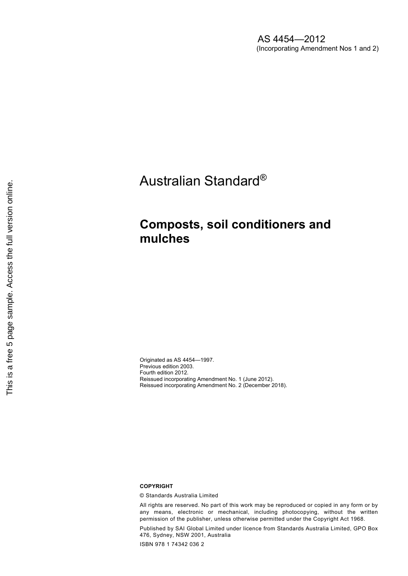AS 4454—2012 (Incorporating Amendment Nos 1 and 2)

Australian Standard®

## **Composts, soil conditioners and mulches**

Originated as AS 4454—1997. Previous edition 2003. Fourth edition 2012. Reissued incorporating Amendment No. 1 (June 2012). Reissued incorporating Amendment No. 2 (December 2018).

#### **COPYRIGHT**

© Standards Australia Limited

All rights are reserved. No part of this work may be reproduced or copied in any form or by any means, electronic or mechanical, including photocopying, without the written permission of the publisher, unless otherwise permitted under the Copyright Act 1968.

Published by SAI Global Limited under licence from Standards Australia Limited, GPO Box 476, Sydney, NSW 2001, Australia

ISBN 978 1 74342 036 2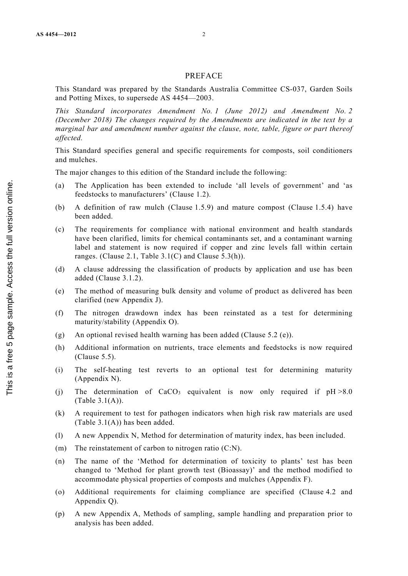### PREFACE

This Standard was prepared by the Standards Australia Committee CS-037, Garden Soils and Potting Mixes, to supersede AS 4454—2003.

*This Standard incorporates Amendment No. 1 (June 2012) and Amendment No. 2 (December 2018) The changes required by the Amendments are indicated in the text by a marginal bar and amendment number against the clause, note, table, figure or part thereof affected.* 

This Standard specifies general and specific requirements for composts, soil conditioners and mulches.

The major changes to this edition of the Standard include the following:

- (a) The Application has been extended to include 'all levels of government' and 'as feedstocks to manufacturers' (Clause 1.2).
- (b) A definition of raw mulch (Clause 1.5.9) and mature compost (Clause 1.5.4) have been added.
- (c) The requirements for compliance with national environment and health standards have been clarified, limits for chemical contaminants set, and a contaminant warning label and statement is now required if copper and zinc levels fall within certain ranges. (Clause 2.1, Table 3.1(C) and Clause 5.3(h)).
- (d) A clause addressing the classification of products by application and use has been added (Clause 3.1.2).
- (e) The method of measuring bulk density and volume of product as delivered has been clarified (new Appendix J).
- (f) The nitrogen drawdown index has been reinstated as a test for determining maturity/stability (Appendix O).
- (g) An optional revised health warning has been added (Clause 5.2 (e)).
- (h) Additional information on nutrients, trace elements and feedstocks is now required (Clause 5.5).
- (i) The self-heating test reverts to an optional test for determining maturity (Appendix N).
- (i) The determination of  $CaCO<sub>3</sub>$  equivalent is now only required if  $pH > 8.0$ (Table 3.1(A)).
- (k) A requirement to test for pathogen indicators when high risk raw materials are used (Table 3.1(A)) has been added.
- (l) A new Appendix N, Method for determination of maturity index, has been included.
- (m) The reinstatement of carbon to nitrogen ratio (C:N).
- (n) The name of the 'Method for determination of toxicity to plants' test has been changed to 'Method for plant growth test (Bioassay)' and the method modified to accommodate physical properties of composts and mulches (Appendix F).
- (o) Additional requirements for claiming compliance are specified (Clause 4.2 and Appendix Q).
- (p) A new Appendix A, Methods of sampling, sample handling and preparation prior to analysis has been added.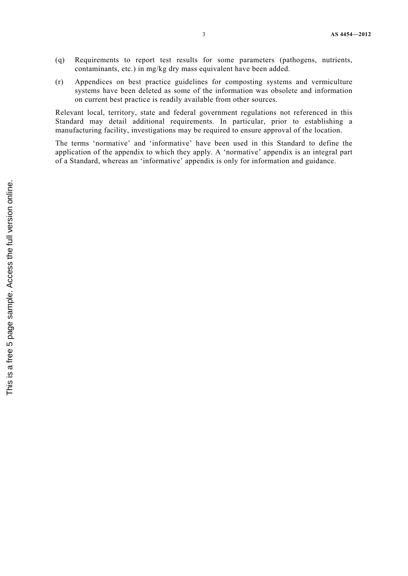- (q) Requirements to report test results for some parameters (pathogens, nutrients, contaminants, etc.) in mg/kg dry mass equivalent have been added.
- (r) Appendices on best practice guidelines for composting systems and vermiculture systems have been deleted as some of the information was obsolete and information on current best practice is readily available from other sources.

Relevant local, territory, state and federal government regulations not referenced in this Standard may detail additional requirements. In particular, prior to establishing a manufacturing facility, investigations may be required to ensure approval of the location.

The terms 'normative' and 'informative' have been used in this Standard to define the application of the appendix to which they apply. A 'normative' appendix is an integral part of a Standard, whereas an 'informative' appendix is only for information and guidance.